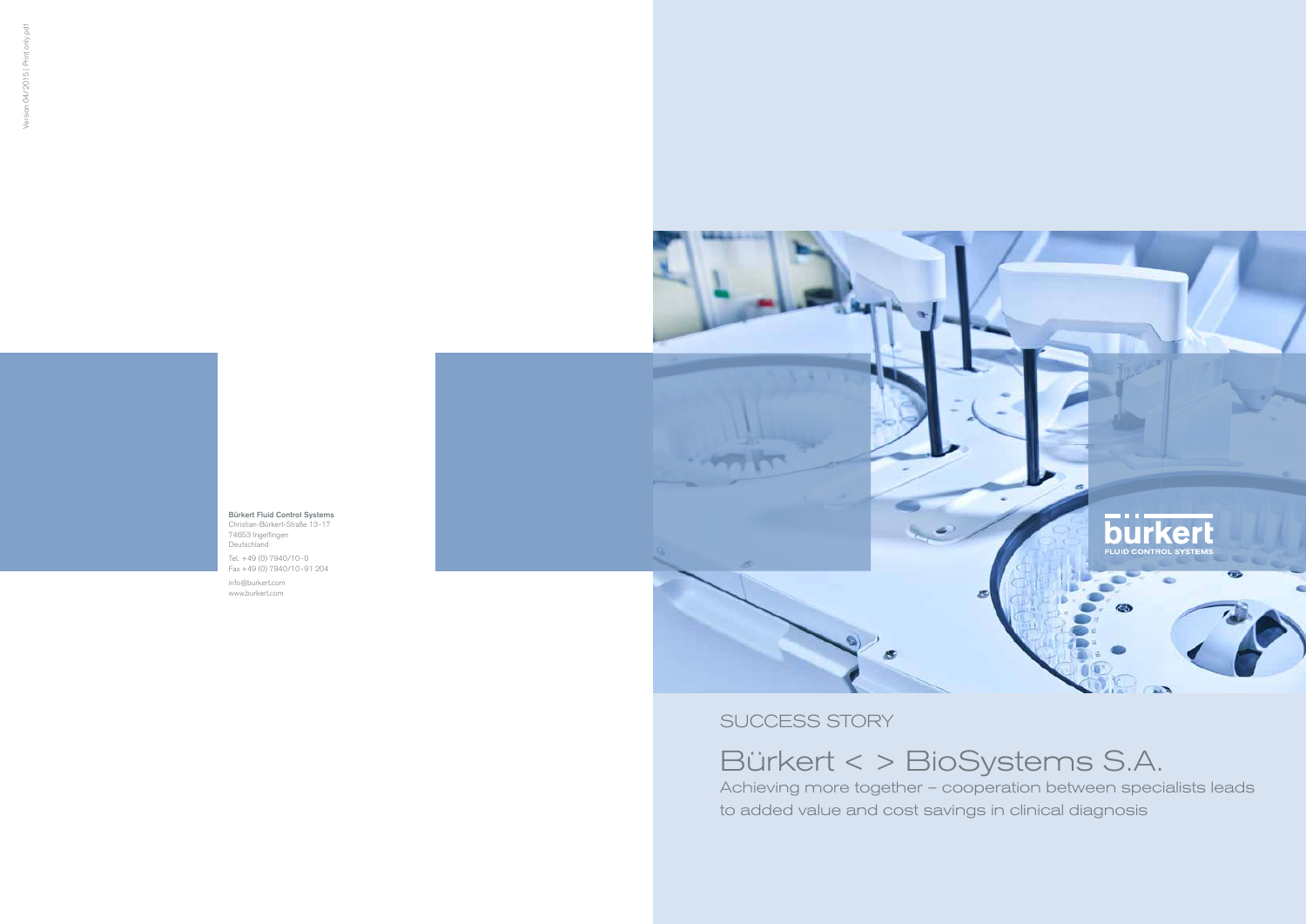SUCCESS STORY

Bürkert < > BioSystems S.A.

# Achieving more together – cooperation between specialists leads

to added value and cost savings in clinical diagnosis

Bürkert Fluid Control Systems Christian-Bürkert-Straße 13-17 74653 Ingelfingen Deutschland

Tel. +49 (0) 7940/10-0 Fax +49 (0) 7940/10-91 204

info@burkert.com www.burkert.com

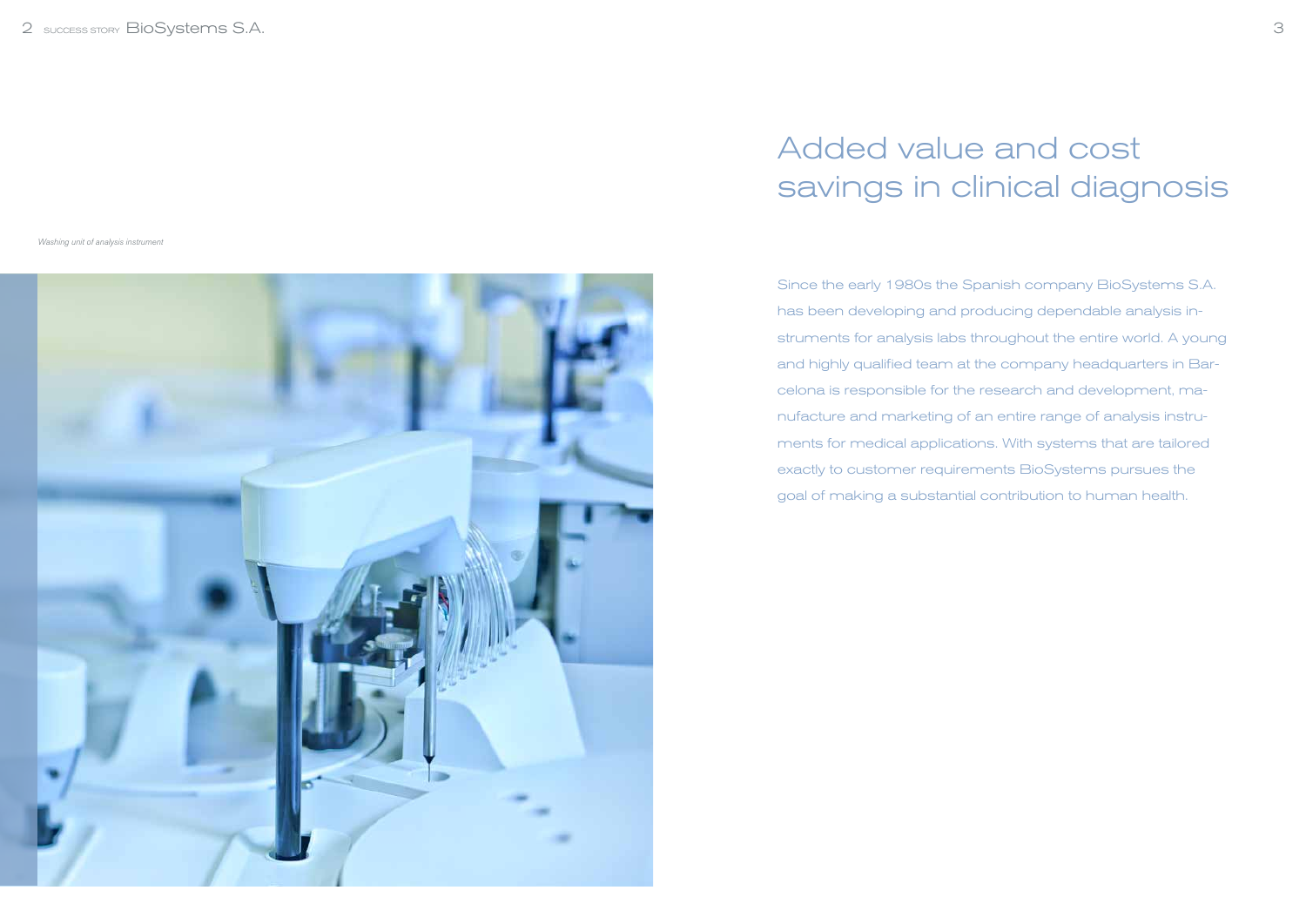Since the early 1980s the Spanish company BioSystems S.A. has been developing and producing dependable analysis instruments for analysis labs throughout the entire world. A young and highly qualified team at the company headquarters in Barcelona is responsible for the research and development, manufacture and marketing of an entire range of analysis instruments for medical applications. With systems that are tailored exactly to customer requirements BioSystems pursues the goal of making a substantial contribution to human health.

## Added value and cost savings in clinical diagnosis

Washing unit of analysis instrument

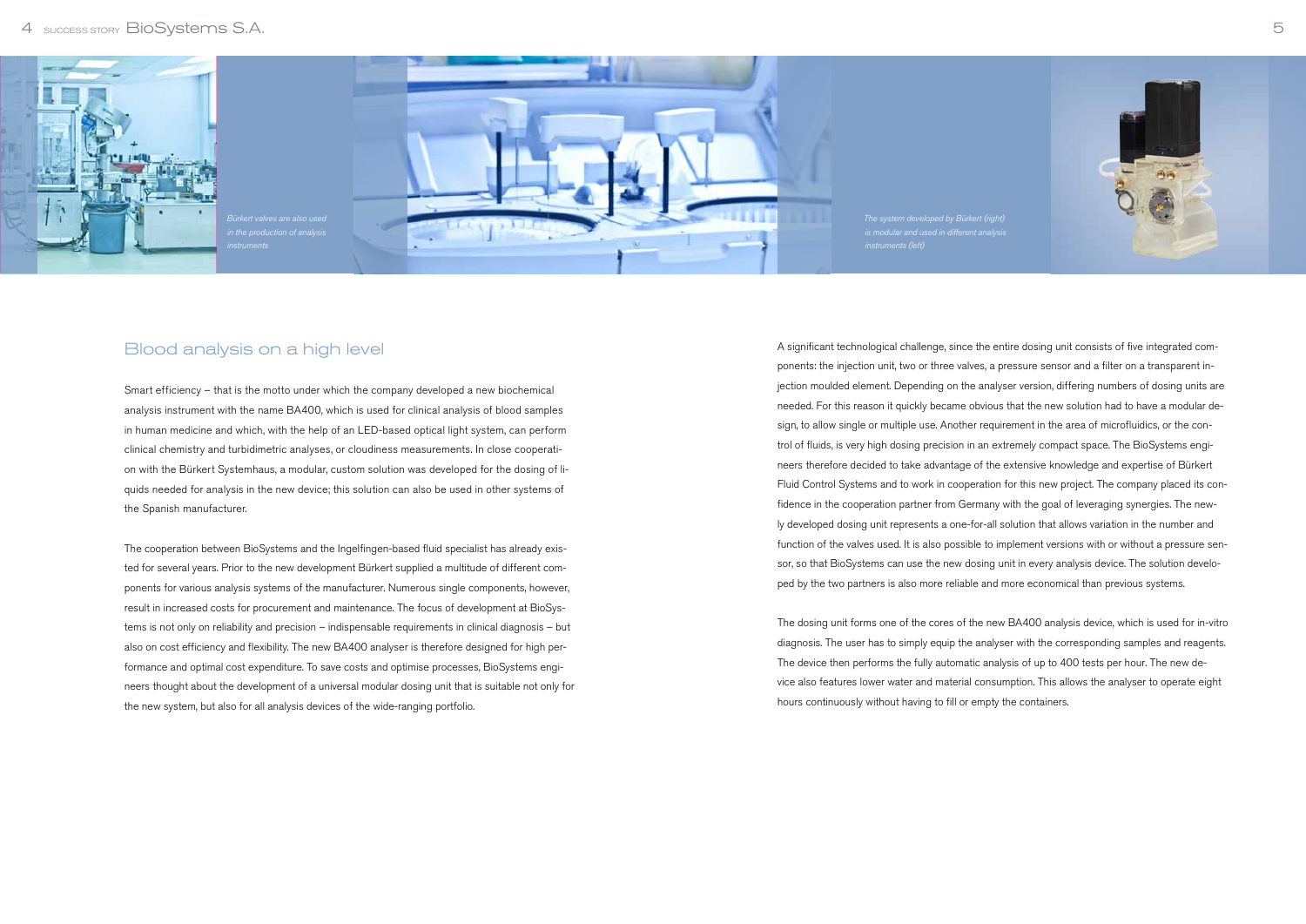A significant technological challenge, since the entire dosing unit consists of five integrated components: the injection unit, two or three valves, a pressure sensor and a filter on a transparent injection moulded element. Depending on the analyser version, differing numbers of dosing units are needed. For this reason it quickly became obvious that the new solution had to have a modular design, to allow single or multiple use. Another requirement in the area of microfluidics, or the control of fluids, is very high dosing precision in an extremely compact space. The BioSystems engineers therefore decided to take advantage of the extensive knowledge and expertise of Bürkert Fluid Control Systems and to work in cooperation for this new project. The company placed its confidence in the cooperation partner from Germany with the goal of leveraging synergies. The newly developed dosing unit represents a one-for-all solution that allows variation in the number and function of the valves used. It is also possible to implement versions with or without a pressure sensor, so that BioSystems can use the new dosing unit in every analysis device. The solution developed by the two partners is also more reliable and more economical than previous systems.

The dosing unit forms one of the cores of the new BA400 analysis device, which is used for in-vitro diagnosis. The user has to simply equip the analyser with the corresponding samples and reagents. The device then performs the fully automatic analysis of up to 400 tests per hour. The new device also features lower water and material consumption. This allows the analyser to operate eight hours continuously without having to fill or empty the containers.



### Blood analysis on a high level

Smart efficiency – that is the motto under which the company developed a new biochemical analysis instrument with the name BA400, which is used for clinical analysis of blood samples in human medicine and which, with the help of an LED-based optical light system, can perform clinical chemistry and turbidimetric analyses, or cloudiness measurements. In close cooperation with the Bürkert Systemhaus, a modular, custom solution was developed for the dosing of liquids needed for analysis in the new device; this solution can also be used in other systems of the Spanish manufacturer.

The cooperation between BioSystems and the Ingelfingen-based fluid specialist has already existed for several years. Prior to the new development Bürkert supplied a multitude of different components for various analysis systems of the manufacturer. Numerous single components, however, result in increased costs for procurement and maintenance. The focus of development at BioSystems is not only on reliability and precision – indispensable requirements in clinical diagnosis – but also on cost efficiency and flexibility. The new BA400 analyser is therefore designed for high performance and optimal cost expenditure. To save costs and optimise processes, BioSystems engineers thought about the development of a universal modular dosing unit that is suitable not only for the new system, but also for all analysis devices of the wide-ranging portfolio.

#### 4 SUCCESS STORY BIOSystems S.A.



The system developed by Bürkert (right)

5